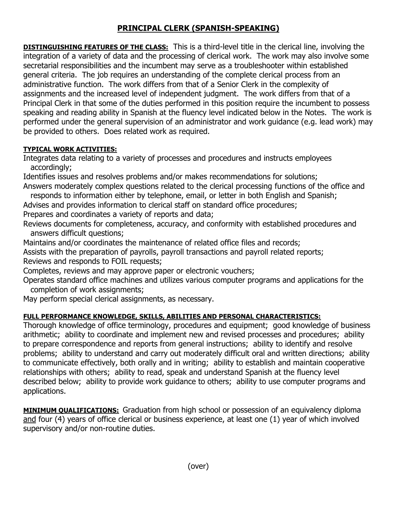## **PRINCIPAL CLERK (SPANISH-SPEAKING)**

**DISTINGUISHING FEATURES OF THE CLASS:** This is a third-level title in the clerical line, involving the integration of a variety of data and the processing of clerical work. The work may also involve some secretarial responsibilities and the incumbent may serve as a troubleshooter within established general criteria. The job requires an understanding of the complete clerical process from an administrative function. The work differs from that of a Senior Clerk in the complexity of assignments and the increased level of independent judgment. The work differs from that of a Principal Clerk in that some of the duties performed in this position require the incumbent to possess speaking and reading ability in Spanish at the fluency level indicated below in the Notes. The work is performed under the general supervision of an administrator and work guidance (e.g. lead work) may be provided to others. Does related work as required.

## **TYPICAL WORK ACTIVITIES:**

Integrates data relating to a variety of processes and procedures and instructs employees accordingly;

Identifies issues and resolves problems and/or makes recommendations for solutions; Answers moderately complex questions related to the clerical processing functions of the office and

responds to information either by telephone, email, or letter in both English and Spanish;

Advises and provides information to clerical staff on standard office procedures;

Prepares and coordinates a variety of reports and data;

Reviews documents for completeness, accuracy, and conformity with established procedures and answers difficult questions;

Maintains and/or coordinates the maintenance of related office files and records;

Assists with the preparation of payrolls, payroll transactions and payroll related reports;

Reviews and responds to FOIL requests;

Completes, reviews and may approve paper or electronic vouchers;

Operates standard office machines and utilizes various computer programs and applications for the completion of work assignments;

May perform special clerical assignments, as necessary.

## **FULL PERFORMANCE KNOWLEDGE, SKILLS, ABILITIES AND PERSONAL CHARACTERISTICS:**

Thorough knowledge of office terminology, procedures and equipment; good knowledge of business arithmetic; ability to coordinate and implement new and revised processes and procedures; ability to prepare correspondence and reports from general instructions; ability to identify and resolve problems; ability to understand and carry out moderately difficult oral and written directions; ability to communicate effectively, both orally and in writing; ability to establish and maintain cooperative relationships with others; ability to read, speak and understand Spanish at the fluency level described below; ability to provide work guidance to others; ability to use computer programs and applications.

**MINIMUM QUALIFICATIONS:** Graduation from high school or possession of an equivalency diploma and four (4) years of office clerical or business experience, at least one (1) year of which involved supervisory and/or non-routine duties.